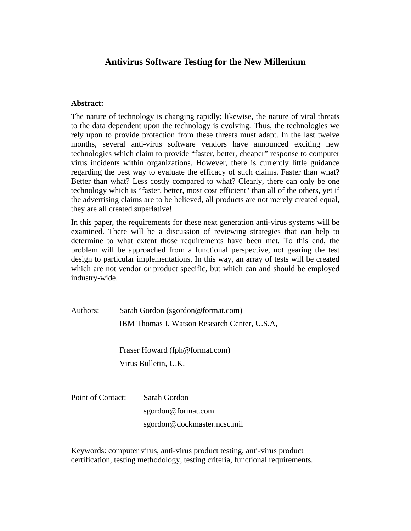# **Antivirus Software Testing for the New Millenium**

### **Abstract:**

The nature of technology is changing rapidly; likewise, the nature of viral threats to the data dependent upon the technology is evolving. Thus, the technologies we rely upon to provide protection from these threats must adapt. In the last twelve months, several anti-virus software vendors have announced exciting new technologies which claim to provide "faster, better, cheaper" response to computer virus incidents within organizations. However, there is currently little guidance regarding the best way to evaluate the efficacy of such claims. Faster than what? Better than what? Less costly compared to what? Clearly, there can only be one technology which is "faster, better, most cost efficient" than all of the others, yet if the advertising claims are to be believed, all products are not merely created equal, they are all created superlative!

In this paper, the requirements for these next generation anti-virus systems will be examined. There will be a discussion of reviewing strategies that can help to determine to what extent those requirements have been met. To this end, the problem will be approached from a functional perspective, not gearing the test design to particular implementations. In this way, an array of tests will be created which are not vendor or product specific, but which can and should be employed industry-wide.

Authors: Sarah Gordon (sgordon@format.com) IBM Thomas J. Watson Research Center, U.S.A,

> Fraser Howard (fph@format.com) Virus Bulletin, U.K.

Point of Contact: Sarah Gordon sgordon@format.com sgordon@dockmaster.ncsc.mil

Keywords: computer virus, anti-virus product testing, anti-virus product certification, testing methodology, testing criteria, functional requirements.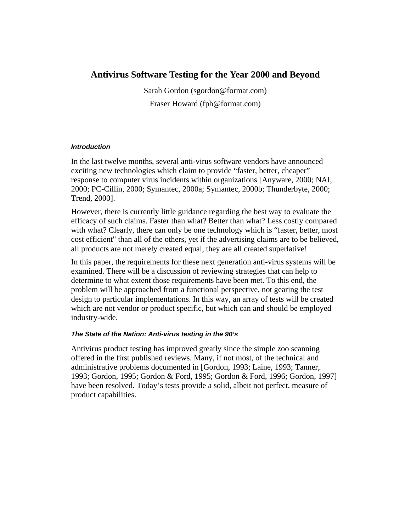# **Antivirus Software Testing for the Year 2000 and Beyond**

Sarah Gordon (sgordon@format.com) Fraser Howard (fph@format.com)

### *Introduction*

In the last twelve months, several anti-virus software vendors have announced exciting new technologies which claim to provide "faster, better, cheaper" response to computer virus incidents within organizations [Anyware, 2000; NAI, 2000; PC-Cillin, 2000; Symantec, 2000a; Symantec, 2000b; Thunderbyte, 2000; Trend, 2000].

However, there is currently little guidance regarding the best way to evaluate the efficacy of such claims. Faster than what? Better than what? Less costly compared with what? Clearly, there can only be one technology which is "faster, better, most cost efficient" than all of the others, yet if the advertising claims are to be believed, all products are not merely created equal, they are all created superlative!

In this paper, the requirements for these next generation anti-virus systems will be examined. There will be a discussion of reviewing strategies that can help to determine to what extent those requirements have been met. To this end, the problem will be approached from a functional perspective, not gearing the test design to particular implementations. In this way, an array of tests will be created which are not vendor or product specific, but which can and should be employed industry-wide.

### *The State of the Nation: Anti-virus testing in the 90's*

Antivirus product testing has improved greatly since the simple zoo scanning offered in the first published reviews. Many, if not most, of the technical and administrative problems documented in [Gordon, 1993; Laine, 1993; Tanner, 1993; Gordon, 1995; Gordon & Ford, 1995; Gordon & Ford, 1996; Gordon, 1997] have been resolved. Today's tests provide a solid, albeit not perfect, measure of product capabilities.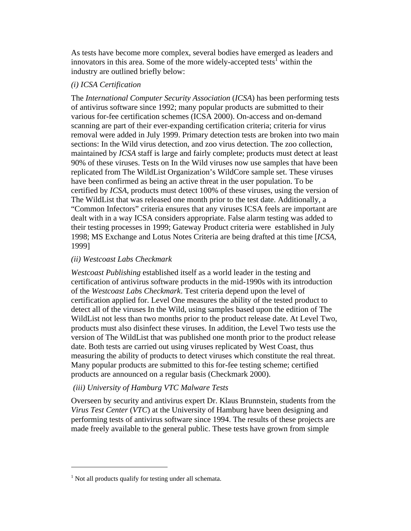As tests have become more complex, several bodies have emerged as leaders and innovators in this area. Some of the more widely-accepted tests<sup>1</sup> within the industry are outlined briefly below:

## *(i) ICSA Certification*

The *International Computer Security Association* (*ICSA*) has been performing tests of antivirus software since 1992; many popular products are submitted to their various for-fee certification schemes (ICSA 2000). On-access and on-demand scanning are part of their ever-expanding certification criteria; criteria for virus removal were added in July 1999. Primary detection tests are broken into two main sections: In the Wild virus detection, and zoo virus detection. The zoo collection, maintained by *ICSA* staff is large and fairly complete; products must detect at least 90% of these viruses. Tests on In the Wild viruses now use samples that have been replicated from The WildList Organization's WildCore sample set. These viruses have been confirmed as being an active threat in the user population. To be certified by *ICSA*, products must detect 100% of these viruses, using the version of The WildList that was released one month prior to the test date. Additionally, a "Common Infectors" criteria ensures that any viruses ICSA feels are important are dealt with in a way ICSA considers appropriate. False alarm testing was added to their testing processes in 1999; Gateway Product criteria were established in July 1998; MS Exchange and Lotus Notes Criteria are being drafted at this time [*ICSA*, 1999]

### *(ii) Westcoast Labs Checkmark*

*Westcoast Publishing* established itself as a world leader in the testing and certification of antivirus software products in the mid-1990s with its introduction of the *Westcoast Labs Checkmark*. Test criteria depend upon the level of certification applied for. Level One measures the ability of the tested product to detect all of the viruses In the Wild, using samples based upon the edition of The WildList not less than two months prior to the product release date. At Level Two, products must also disinfect these viruses. In addition, the Level Two tests use the version of The WildList that was published one month prior to the product release date. Both tests are carried out using viruses replicated by West Coast, thus measuring the ability of products to detect viruses which constitute the real threat. Many popular products are submitted to this for-fee testing scheme; certified products are announced on a regular basis (Checkmark 2000).

# *(iii) University of Hamburg VTC Malware Tests*

Overseen by security and antivirus expert Dr. Klaus Brunnstein, students from the *Virus Test Center* (*VTC*) at the University of Hamburg have been designing and performing tests of antivirus software since 1994. The results of these projects are made freely available to the general public. These tests have grown from simple

<u>.</u>

<sup>&</sup>lt;sup>1</sup> Not all products qualify for testing under all schemata.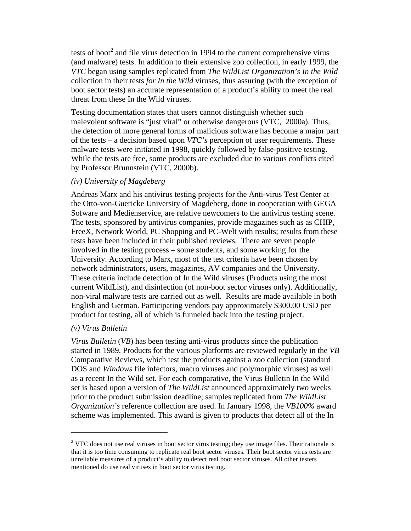tests of boot<sup>2</sup> and file virus detection in 1994 to the current comprehensive virus (and malware) tests. In addition to their extensive zoo collection, in early 1999, the *VTC* began using samples replicated from *The WildList Organization's In the Wild* collection in their tests *for In the Wild* viruses, thus assuring (with the exception of boot sector tests) an accurate representation of a product's ability to meet the real threat from these In the Wild viruses.

Testing documentation states that users cannot distinguish whether such malevolent software is "just viral" or otherwise dangerous (VTC, 2000a). Thus, the detection of more general forms of malicious software has become a major part of the tests – a decision based upon *VTC's* perception of user requirements. These malware tests were initiated in 1998, quickly followed by false-positive testing. While the tests are free, some products are excluded due to various conflicts cited by Professor Brunnstein (VTC, 2000b).

### *(iv) University of Magdeberg*

Andreas Marx and his antivirus testing projects for the Anti-virus Test Center at the Otto-von-Guericke University of Magdeberg, done in cooperation with GEGA Sofware and Medienservice, are relative newcomers to the antivirus testing scene. The tests, sponsored by antivirus companies, provide magazines such as as CHIP, FreeX, Network World, PC Shopping and PC-Welt with results; results from these tests have been included in their published reviews. There are seven people involved in the testing process – some students, and some working for the University. According to Marx, most of the test criteria have been chosen by network administrators, users, magazines, AV companies and the University. These criteria include detection of In the Wild viruses (Products using the most current WildList), and disinfection (of non-boot sector viruses only). Additionally, non-viral malware tests are carried out as well. Results are made available in both English and German. Participating vendors pay approximately \$300.00 USD per product for testing, all of which is funneled back into the testing project.

#### *(v) Virus Bulletin*

<u>.</u>

*Virus Bulletin (VB)* has been testing anti-virus products since the publication started in 1989. Products for the various platforms are reviewed regularly in the *VB* Comparative Reviews, which test the products against a zoo collection (standard DOS and *Windows* file infectors, macro viruses and polymorphic viruses) as well as a recent In the Wild set. For each comparative, the Virus Bulletin In the Wild set is based upon a version of *The WildList* announced approximately two weeks prior to the product submission deadline; samples replicated from *The WildList Organization's* reference collection are used. In January 1998, the *VB100%* award scheme was implemented. This award is given to products that detect all of the In

 $2$  VTC does not use real viruses in boot sector virus testing; they use image files. Their rationale is that it is too time consuming to replicate real boot sector viruses. Their boot sector virus tests are unreliable measures of a product's ability to detect real boot sector viruses. All other testers mentioned do use real viruses in boot sector virus testing.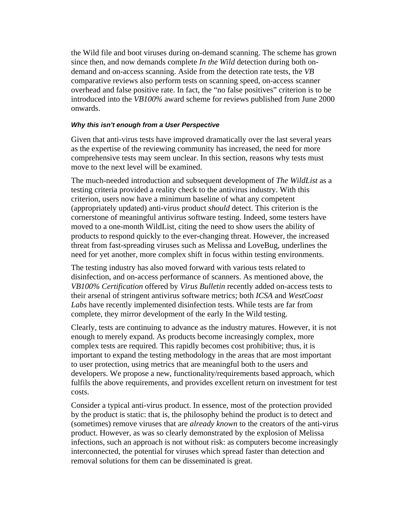the Wild file and boot viruses during on-demand scanning. The scheme has grown since then, and now demands complete *In the Wild* detection during both ondemand and on-access scanning. Aside from the detection rate tests, the *VB* comparative reviews also perform tests on scanning speed, on-access scanner overhead and false positive rate. In fact, the "no false positives" criterion is to be introduced into the *VB100%* award scheme for reviews published from June 2000 onwards.

#### *Why this isn't enough from a User Perspective*

Given that anti-virus tests have improved dramatically over the last several years as the expertise of the reviewing community has increased, the need for more comprehensive tests may seem unclear. In this section, reasons why tests must move to the next level will be examined.

The much-needed introduction and subsequent development of *The WildList* as a testing criteria provided a reality check to the antivirus industry. With this criterion, users now have a minimum baseline of what any competent (appropriately updated) anti-virus product *should* detect. This criterion is the cornerstone of meaningful antivirus software testing. Indeed, some testers have moved to a one-month WildList, citing the need to show users the ability of products to respond quickly to the ever-changing threat. However, the increased threat from fast-spreading viruses such as Melissa and LoveBug, underlines the need for yet another, more complex shift in focus within testing environments.

The testing industry has also moved forward with various tests related to disinfection, and on-access performance of scanners. As mentioned above, the *VB100% Certification* offered by *Virus Bulletin* recently added on-access tests to their arsenal of stringent antivirus software metrics; both *ICSA* and *WestCoast Labs* have recently implemented disinfection tests. While tests are far from complete, they mirror development of the early In the Wild testing.

Clearly, tests are continuing to advance as the industry matures. However, it is not enough to merely expand. As products become increasingly complex, more complex tests are required. This rapidly becomes cost prohibitive; thus, it is important to expand the testing methodology in the areas that are most important to user protection, using metrics that are meaningful both to the users and developers. We propose a new, functionality/requirements based approach, which fulfils the above requirements, and provides excellent return on investment for test costs.

Consider a typical anti-virus product. In essence, most of the protection provided by the product is static: that is, the philosophy behind the product is to detect and (sometimes) remove viruses that are *already known* to the creators of the anti-virus product. However, as was so clearly demonstrated by the explosion of Melissa infections, such an approach is not without risk: as computers become increasingly interconnected, the potential for viruses which spread faster than detection and removal solutions for them can be disseminated is great.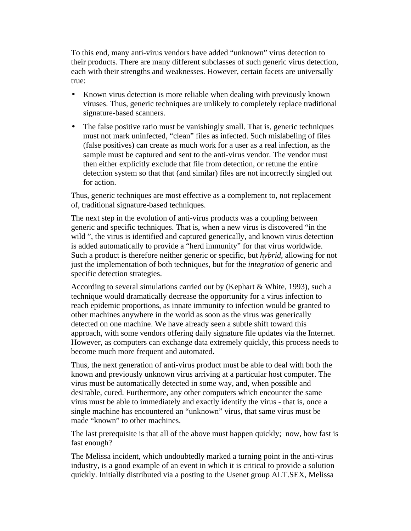To this end, many anti-virus vendors have added "unknown" virus detection to their products. There are many different subclasses of such generic virus detection, each with their strengths and weaknesses. However, certain facets are universally true:

- Known virus detection is more reliable when dealing with previously known viruses. Thus, generic techniques are unlikely to completely replace traditional signature-based scanners.
- The false positive ratio must be vanishingly small. That is, generic techniques must not mark uninfected, "clean" files as infected. Such mislabeling of files (false positives) can create as much work for a user as a real infection, as the sample must be captured and sent to the anti-virus vendor. The vendor must then either explicitly exclude that file from detection, or retune the entire detection system so that that (and similar) files are not incorrectly singled out for action.

Thus, generic techniques are most effective as a complement to, not replacement of, traditional signature-based techniques.

The next step in the evolution of anti-virus products was a coupling between generic and specific techniques. That is, when a new virus is discovered "in the wild ", the virus is identified and captured generically, and known virus detection is added automatically to provide a "herd immunity" for that virus worldwide. Such a product is therefore neither generic or specific, but *hybrid*, allowing for not just the implementation of both techniques, but for the *integration* of generic and specific detection strategies.

According to several simulations carried out by (Kephart & White, 1993), such a technique would dramatically decrease the opportunity for a virus infection to reach epidemic proportions, as innate immunity to infection would be granted to other machines anywhere in the world as soon as the virus was generically detected on one machine. We have already seen a subtle shift toward this approach, with some vendors offering daily signature file updates via the Internet. However, as computers can exchange data extremely quickly, this process needs to become much more frequent and automated.

Thus, the next generation of anti-virus product must be able to deal with both the known and previously unknown virus arriving at a particular host computer. The virus must be automatically detected in some way, and, when possible and desirable, cured. Furthermore, any other computers which encounter the same virus must be able to immediately and exactly identify the virus - that is, once a single machine has encountered an "unknown" virus, that same virus must be made "known" to other machines.

The last prerequisite is that all of the above must happen quickly; now, how fast is fast enough?

The Melissa incident, which undoubtedly marked a turning point in the anti-virus industry, is a good example of an event in which it is critical to provide a solution quickly. Initially distributed via a posting to the Usenet group ALT.SEX, Melissa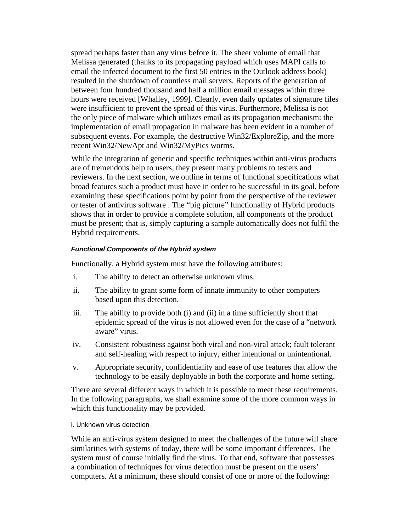spread perhaps faster than any virus before it. The sheer volume of email that Melissa generated (thanks to its propagating payload which uses MAPI calls to email the infected document to the first 50 entries in the Outlook address book) resulted in the shutdown of countless mail servers. Reports of the generation of between four hundred thousand and half a million email messages within three hours were received [Whalley, 1999]. Clearly, even daily updates of signature files were insufficient to prevent the spread of this virus. Furthermore, Melissa is not the only piece of malware which utilizes email as its propagation mechanism: the implementation of email propagation in malware has been evident in a number of subsequent events. For example, the destructive Win32/ExploreZip, and the more recent Win32/NewApt and Win32/MyPics worms.

While the integration of generic and specific techniques within anti-virus products are of tremendous help to users, they present many problems to testers and reviewers. In the next section, we outline in terms of functional specifications what broad features such a product must have in order to be successful in its goal, before examining these specifications point by point from the perspective of the reviewer or tester of antivirus software . The "big picture" functionality of Hybrid products shows that in order to provide a complete solution, all components of the product must be present; that is, simply capturing a sample automatically does not fulfil the Hybrid requirements.

### *Functional Components of the Hybrid system*

Functionally, a Hybrid system must have the following attributes:

- i. The ability to detect an otherwise unknown virus.
- ii. The ability to grant some form of innate immunity to other computers based upon this detection.
- iii. The ability to provide both (i) and (ii) in a time sufficiently short that epidemic spread of the virus is not allowed even for the case of a "network aware" virus.
- iv. Consistent robustness against both viral and non-viral attack; fault tolerant and self-healing with respect to injury, either intentional or unintentional.
- v. Appropriate security, confidentiality and ease of use features that allow the technology to be easily deployable in both the corporate and home setting.

There are several different ways in which it is possible to meet these requirements. In the following paragraphs, we shall examine some of the more common ways in which this functionality may be provided.

i. Unknown virus detection

While an anti-virus system designed to meet the challenges of the future will share similarities with systems of today, there will be some important differences. The system must of course initially find the virus. To that end, software that possesses a combination of techniques for virus detection must be present on the users' computers. At a minimum, these should consist of one or more of the following: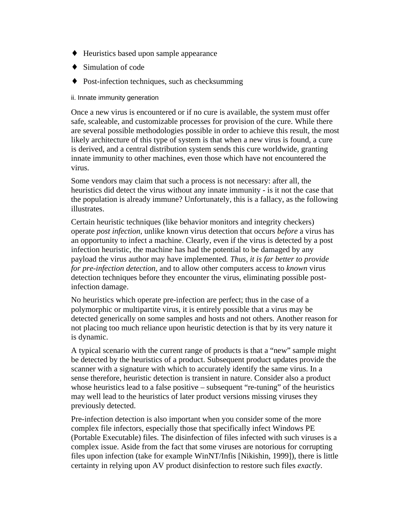- ♦ Heuristics based upon sample appearance
- $\triangleleft$  Simulation of code
- ♦ Post-infection techniques, such as checksumming

ii. Innate immunity generation

Once a new virus is encountered or if no cure is available, the system must offer safe, scaleable, and customizable processes for provision of the cure. While there are several possible methodologies possible in order to achieve this result, the most likely architecture of this type of system is that when a new virus is found, a cure is derived, and a central distribution system sends this cure worldwide, granting innate immunity to other machines, even those which have not encountered the virus.

Some vendors may claim that such a process is not necessary: after all, the heuristics did detect the virus without any innate immunity - is it not the case that the population is already immune? Unfortunately, this is a fallacy, as the following illustrates.

Certain heuristic techniques (like behavior monitors and integrity checkers) operate *post infection*, unlike known virus detection that occurs *before* a virus has an opportunity to infect a machine. Clearly, even if the virus is detected by a post infection heuristic, the machine has had the potential to be damaged by any payload the virus author may have implemented*. Thus, it is far better to provide for pre-infection detection,* and to allow other computers access to *known* virus detection techniques before they encounter the virus, eliminating possible postinfection damage.

No heuristics which operate pre-infection are perfect; thus in the case of a polymorphic or multipartite virus, it is entirely possible that a virus may be detected generically on some samples and hosts and not others. Another reason for not placing too much reliance upon heuristic detection is that by its very nature it is dynamic.

A typical scenario with the current range of products is that a "new" sample might be detected by the heuristics of a product. Subsequent product updates provide the scanner with a signature with which to accurately identify the same virus. In a sense therefore, heuristic detection is transient in nature. Consider also a product whose heuristics lead to a false positive – subsequent "re-tuning" of the heuristics may well lead to the heuristics of later product versions missing viruses they previously detected.

Pre-infection detection is also important when you consider some of the more complex file infectors, especially those that specifically infect Windows PE (Portable Executable) files. The disinfection of files infected with such viruses is a complex issue. Aside from the fact that some viruses are notorious for corrupting files upon infection (take for example WinNT/Infis [Nikishin, 1999]), there is little certainty in relying upon AV product disinfection to restore such files *exactly*.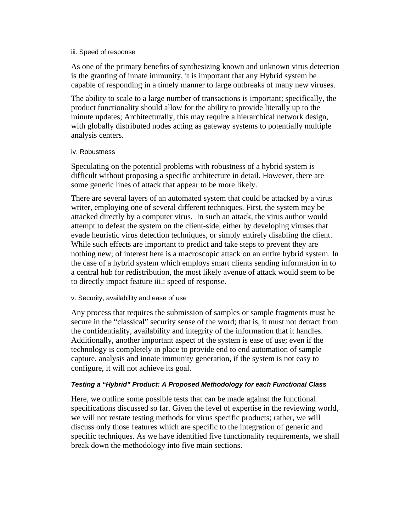#### iii. Speed of response

As one of the primary benefits of synthesizing known and unknown virus detection is the granting of innate immunity, it is important that any Hybrid system be capable of responding in a timely manner to large outbreaks of many new viruses.

The ability to scale to a large number of transactions is important; specifically, the product functionality should allow for the ability to provide literally up to the minute updates; Architecturally, this may require a hierarchical network design, with globally distributed nodes acting as gateway systems to potentially multiple analysis centers.

#### iv. Robustness

Speculating on the potential problems with robustness of a hybrid system is difficult without proposing a specific architecture in detail. However, there are some generic lines of attack that appear to be more likely.

There are several layers of an automated system that could be attacked by a virus writer, employing one of several different techniques. First, the system may be attacked directly by a computer virus. In such an attack, the virus author would attempt to defeat the system on the client-side, either by developing viruses that evade heuristic virus detection techniques, or simply entirely disabling the client. While such effects are important to predict and take steps to prevent they are nothing new; of interest here is a macroscopic attack on an entire hybrid system. In the case of a hybrid system which employs smart clients sending information in to a central hub for redistribution, the most likely avenue of attack would seem to be to directly impact feature iii.: speed of response.

#### v. Security, availability and ease of use

Any process that requires the submission of samples or sample fragments must be secure in the "classical" security sense of the word; that is, it must not detract from the confidentiality, availability and integrity of the information that it handles. Additionally, another important aspect of the system is ease of use; even if the technology is completely in place to provide end to end automation of sample capture, analysis and innate immunity generation, if the system is not easy to configure, it will not achieve its goal.

#### *Testing a "Hybrid" Product: A Proposed Methodology for each Functional Class*

Here, we outline some possible tests that can be made against the functional specifications discussed so far. Given the level of expertise in the reviewing world, we will not restate testing methods for virus specific products; rather, we will discuss only those features which are specific to the integration of generic and specific techniques. As we have identified five functionality requirements, we shall break down the methodology into five main sections.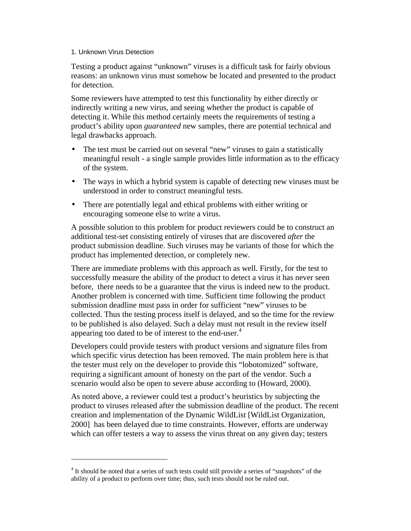#### 1. Unknown Virus Detection

<u>.</u>

Testing a product against "unknown" viruses is a difficult task for fairly obvious reasons: an unknown virus must somehow be located and presented to the product for detection.

Some reviewers have attempted to test this functionality by either directly or indirectly writing a new virus, and seeing whether the product is capable of detecting it. While this method certainly meets the requirements of testing a product's ability upon *guaranteed* new samples, there are potential technical and legal drawbacks approach.

- The test must be carried out on several "new" viruses to gain a statistically meaningful result - a single sample provides little information as to the efficacy of the system.
- The ways in which a hybrid system is capable of detecting new viruses must be understood in order to construct meaningful tests.
- There are potentially legal and ethical problems with either writing or encouraging someone else to write a virus.

A possible solution to this problem for product reviewers could be to construct an additional test-set consisting entirely of viruses that are discovered *after* the product submission deadline. Such viruses may be variants of those for which the product has implemented detection, or completely new.

There are immediate problems with this approach as well. Firstly, for the test to successfully measure the ability of the product to detect a virus it has never seen before, there needs to be a guarantee that the virus is indeed new to the product. Another problem is concerned with time. Sufficient time following the product submission deadline must pass in order for sufficient "new" viruses to be collected. Thus the testing process itself is delayed, and so the time for the review to be published is also delayed. Such a delay must not result in the review itself appearing too dated to be of interest to the end-user.<sup>4</sup>

Developers could provide testers with product versions and signature files from which specific virus detection has been removed. The main problem here is that the tester must rely on the developer to provide this "lobotomized" software, requiring a significant amount of honesty on the part of the vendor. Such a scenario would also be open to severe abuse according to (Howard, 2000).

As noted above, a reviewer could test a product's heuristics by subjecting the product to viruses released after the submission deadline of the product. The recent creation and implementation of the Dynamic WildList [WildList Organization, 2000] has been delayed due to time constraints. However, efforts are underway which can offer testers a way to assess the virus threat on any given day; testers

<sup>&</sup>lt;sup>4</sup> It should be noted that a series of such tests could still provide a series of "snapshots" of the ability of a product to perform over time; thus, such tests should not be ruled out.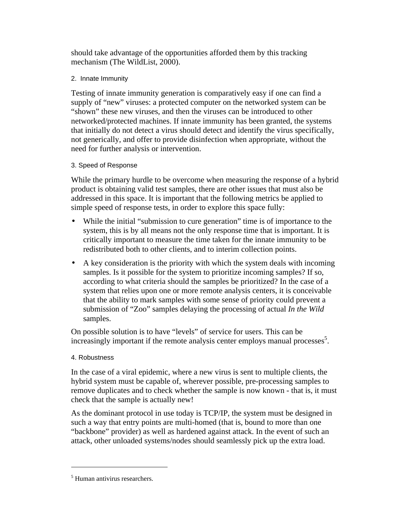should take advantage of the opportunities afforded them by this tracking mechanism (The WildList, 2000).

### 2. Innate Immunity

Testing of innate immunity generation is comparatively easy if one can find a supply of "new" viruses: a protected computer on the networked system can be "shown" these new viruses, and then the viruses can be introduced to other networked/protected machines. If innate immunity has been granted, the systems that initially do not detect a virus should detect and identify the virus specifically, not generically, and offer to provide disinfection when appropriate, without the need for further analysis or intervention.

### 3. Speed of Response

While the primary hurdle to be overcome when measuring the response of a hybrid product is obtaining valid test samples, there are other issues that must also be addressed in this space. It is important that the following metrics be applied to simple speed of response tests, in order to explore this space fully:

- While the initial "submission to cure generation" time is of importance to the system, this is by all means not the only response time that is important. It is critically important to measure the time taken for the innate immunity to be redistributed both to other clients, and to interim collection points.
- A key consideration is the priority with which the system deals with incoming samples. Is it possible for the system to prioritize incoming samples? If so, according to what criteria should the samples be prioritized? In the case of a system that relies upon one or more remote analysis centers, it is conceivable that the ability to mark samples with some sense of priority could prevent a submission of "Zoo" samples delaying the processing of actual *In the Wild* samples.

On possible solution is to have "levels" of service for users. This can be increasingly important if the remote analysis center employs manual processes<sup>5</sup>.

# 4. Robustness

In the case of a viral epidemic, where a new virus is sent to multiple clients, the hybrid system must be capable of, wherever possible, pre-processing samples to remove duplicates and to check whether the sample is now known - that is, it must check that the sample is actually new!

As the dominant protocol in use today is TCP/IP, the system must be designed in such a way that entry points are multi-homed (that is, bound to more than one "backbone" provider) as well as hardened against attack. In the event of such an attack, other unloaded systems/nodes should seamlessly pick up the extra load.

<u>.</u>

<sup>5</sup> Human antivirus researchers.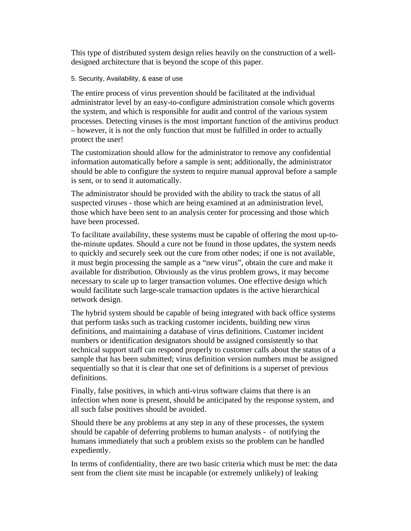This type of distributed system design relies heavily on the construction of a welldesigned architecture that is beyond the scope of this paper.

### 5. Security, Availability, & ease of use

The entire process of virus prevention should be facilitated at the individual administrator level by an easy-to-configure administration console which governs the system, and which is responsible for audit and control of the various system processes. Detecting viruses is the most important function of the antivirus product – however, it is not the only function that must be fulfilled in order to actually protect the user!

The customization should allow for the administrator to remove any confidential information automatically before a sample is sent; additionally, the administrator should be able to configure the system to require manual approval before a sample is sent, or to send it automatically.

The administrator should be provided with the ability to track the status of all suspected viruses - those which are being examined at an administration level, those which have been sent to an analysis center for processing and those which have been processed.

To facilitate availability, these systems must be capable of offering the most up-tothe-minute updates. Should a cure not be found in those updates, the system needs to quickly and securely seek out the cure from other nodes; if one is not available, it must begin processing the sample as a "new virus", obtain the cure and make it available for distribution. Obviously as the virus problem grows, it may become necessary to scale up to larger transaction volumes. One effective design which would facilitate such large-scale transaction updates is the active hierarchical network design.

The hybrid system should be capable of being integrated with back office systems that perform tasks such as tracking customer incidents, building new virus definitions, and maintaining a database of virus definitions. Customer incident numbers or identification designators should be assigned consistently so that technical support staff can respond properly to customer calls about the status of a sample that has been submitted; virus definition version numbers must be assigned sequentially so that it is clear that one set of definitions is a superset of previous definitions.

Finally, false positives, in which anti-virus software claims that there is an infection when none is present, should be anticipated by the response system, and all such false positives should be avoided.

Should there be any problems at any step in any of these processes, the system should be capable of deferring problems to human analysts - of notifying the humans immediately that such a problem exists so the problem can be handled expediently.

In terms of confidentiality, there are two basic criteria which must be met: the data sent from the client site must be incapable (or extremely unlikely) of leaking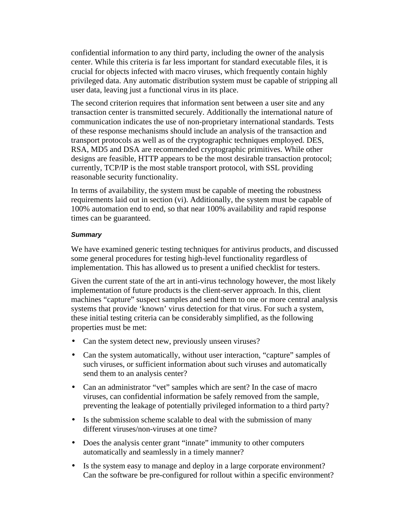confidential information to any third party, including the owner of the analysis center. While this criteria is far less important for standard executable files, it is crucial for objects infected with macro viruses, which frequently contain highly privileged data. Any automatic distribution system must be capable of stripping all user data, leaving just a functional virus in its place.

The second criterion requires that information sent between a user site and any transaction center is transmitted securely. Additionally the international nature of communication indicates the use of non-proprietary international standards. Tests of these response mechanisms should include an analysis of the transaction and transport protocols as well as of the cryptographic techniques employed. DES, RSA, MD5 and DSA are recommended cryptographic primitives. While other designs are feasible, HTTP appears to be the most desirable transaction protocol; currently, TCP/IP is the most stable transport protocol, with SSL providing reasonable security functionality.

In terms of availability, the system must be capable of meeting the robustness requirements laid out in section (vi). Additionally, the system must be capable of 100% automation end to end, so that near 100% availability and rapid response times can be guaranteed.

### *Summary*

We have examined generic testing techniques for antivirus products, and discussed some general procedures for testing high-level functionality regardless of implementation. This has allowed us to present a unified checklist for testers.

Given the current state of the art in anti-virus technology however, the most likely implementation of future products is the client-server approach. In this, client machines "capture" suspect samples and send them to one or more central analysis systems that provide 'known' virus detection for that virus. For such a system, these initial testing criteria can be considerably simplified, as the following properties must be met:

- Can the system detect new, previously unseen viruses?
- Can the system automatically, without user interaction, "capture" samples of such viruses, or sufficient information about such viruses and automatically send them to an analysis center?
- Can an administrator "vet" samples which are sent? In the case of macro viruses, can confidential information be safely removed from the sample, preventing the leakage of potentially privileged information to a third party?
- Is the submission scheme scalable to deal with the submission of many different viruses/non-viruses at one time?
- Does the analysis center grant "innate" immunity to other computers automatically and seamlessly in a timely manner?
- Is the system easy to manage and deploy in a large corporate environment? Can the software be pre-configured for rollout within a specific environment?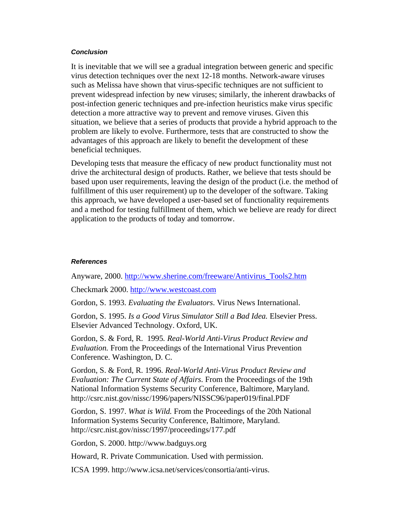#### *Conclusion*

It is inevitable that we will see a gradual integration between generic and specific virus detection techniques over the next 12-18 months. Network-aware viruses such as Melissa have shown that virus-specific techniques are not sufficient to prevent widespread infection by new viruses; similarly, the inherent drawbacks of post-infection generic techniques and pre-infection heuristics make virus specific detection a more attractive way to prevent and remove viruses. Given this situation, we believe that a series of products that provide a hybrid approach to the problem are likely to evolve. Furthermore, tests that are constructed to show the advantages of this approach are likely to benefit the development of these beneficial techniques.

Developing tests that measure the efficacy of new product functionality must not drive the architectural design of products. Rather, we believe that tests should be based upon user requirements, leaving the design of the product (i.e. the method of fulfillment of this user requirement) up to the developer of the software. Taking this approach, we have developed a user-based set of functionality requirements and a method for testing fulfillment of them, which we believe are ready for direct application to the products of today and tomorrow.

#### *References*

Anyware, 2000. http://www.sherine.com/freeware/Antivirus\_Tools2.htm

Checkmark 2000. http://www.westcoast.com

Gordon, S. 1993. *Evaluating the Evaluators*. Virus News International.

Gordon, S. 1995. *Is a Good Virus Simulator Still a Bad Idea.* Elsevier Press. Elsevier Advanced Technology. Oxford, UK.

Gordon, S. & Ford, R. 1995*. Real-World Anti-Virus Product Review and Evaluation.* From the Proceedings of the International Virus Prevention Conference. Washington, D. C.

Gordon, S. & Ford, R. 1996. *Real-World Anti-Virus Product Review and Evaluation: The Current State of Affairs*. From the Proceedings of the 19th National Information Systems Security Conference, Baltimore, Maryland. http://csrc.nist.gov/nissc/1996/papers/NISSC96/paper019/final.PDF

Gordon, S. 1997. *What is Wild.* From the Proceedings of the 20th National Information Systems Security Conference, Baltimore, Maryland. http://csrc.nist.gov/nissc/1997/proceedings/177.pdf

Gordon, S. 2000. http://www.badguys.org

Howard, R. Private Communication. Used with permission.

ICSA 1999. http://www.icsa.net/services/consortia/anti-virus.